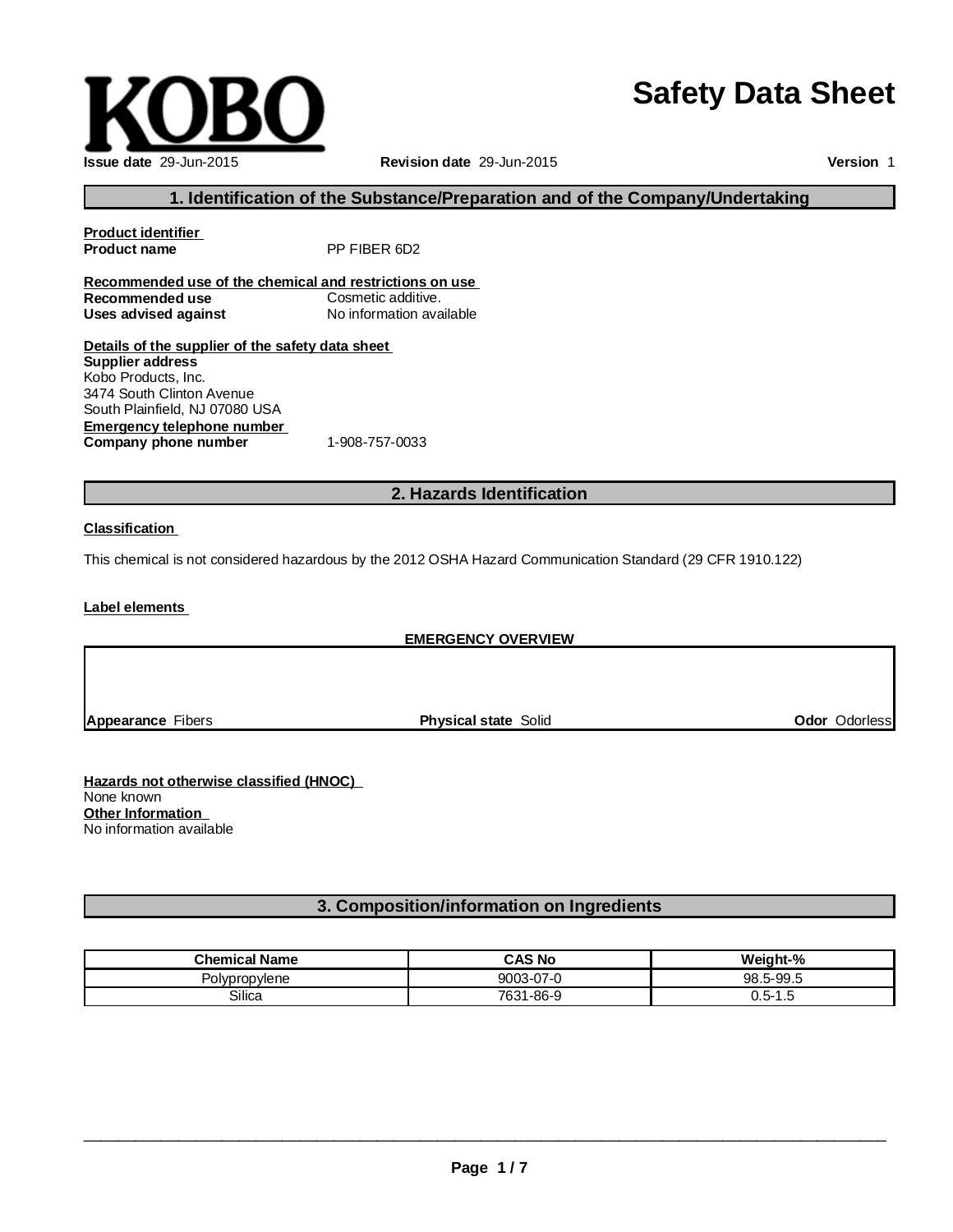# **Safety Data Sheet**

\_\_\_\_\_\_\_\_\_\_\_\_\_\_\_\_\_\_\_\_\_\_\_\_\_\_\_\_\_\_\_\_\_\_\_\_\_\_\_\_\_\_\_\_\_\_\_\_\_\_\_\_\_\_\_\_\_\_\_\_\_\_\_\_\_\_\_\_\_\_\_\_\_\_\_\_\_\_\_\_\_\_\_\_\_\_\_\_\_\_\_\_\_

## **Issue date** 29-Jun-2015 **Revision date** 29-Jun-2015

**Version** 1

## **1. Identification of the Substance/Preparation and of the Company/Undertaking**

**Product identifier** PP FIBER 6D2 **Recommended use of the chemical and restrictions on use Recommended use** Cosmetic additive.<br> **Uses advised against** No information available **Uses advised against Details of the supplier of the safety data sheet Supplier address**

**Emergency telephone number Company phone number** 1-908-757-0033 Kobo Products, Inc. 3474 South Clinton Avenue South Plainfield, NJ 07080 USA

## **2. Hazards Identification**

#### **Classification**

This chemical is not considered hazardous by the 2012 OSHA Hazard Communication Standard (29 CFR 1910.122)

**Label elements**

## **EMERGENCY OVERVIEW**

**Appearance** Fibers **Physical state** Solid **Odor** Odorless

**Hazards not otherwise classified (HNOC)** None known **Other Information** No information available

## **3. Composition/information on Ingredients**

| <b>Chemical Name</b> | <b>CAS No</b> | Weight-%     |
|----------------------|---------------|--------------|
| Polypropylene        | 9003-07-0     | 98.5-99.5    |
| Silica               | 7631-86-9     | ს.ხ−"<br>ں ، |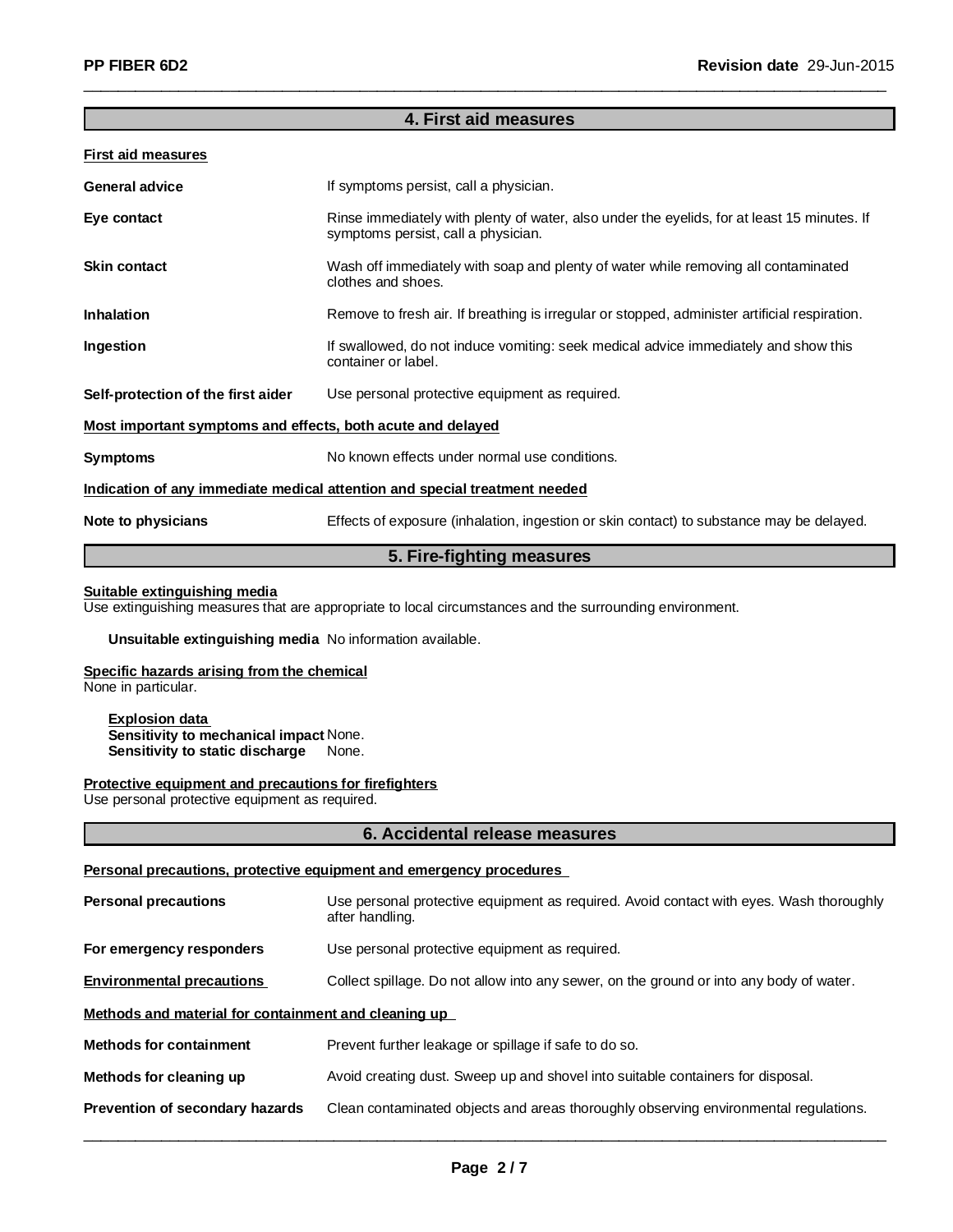## **4. First aid measures**

\_\_\_\_\_\_\_\_\_\_\_\_\_\_\_\_\_\_\_\_\_\_\_\_\_\_\_\_\_\_\_\_\_\_\_\_\_\_\_\_\_\_\_\_\_\_\_\_\_\_\_\_\_\_\_\_\_\_\_\_\_\_\_\_\_\_\_\_\_\_\_\_\_\_\_\_\_\_\_\_\_\_\_\_\_\_\_\_\_\_\_\_\_

#### **First aid measures**

| <b>General advice</b>                                       | If symptoms persist, call a physician.                                                                                             |  |
|-------------------------------------------------------------|------------------------------------------------------------------------------------------------------------------------------------|--|
| Eye contact                                                 | Rinse immediately with plenty of water, also under the eyelids, for at least 15 minutes. If<br>symptoms persist, call a physician. |  |
| <b>Skin contact</b>                                         | Wash off immediately with soap and plenty of water while removing all contaminated<br>clothes and shoes.                           |  |
| <b>Inhalation</b>                                           | Remove to fresh air. If breathing is irregular or stopped, administer artificial respiration.                                      |  |
| Ingestion                                                   | If swallowed, do not induce vomiting: seek medical advice immediately and show this<br>container or label.                         |  |
| Self-protection of the first aider                          | Use personal protective equipment as required.                                                                                     |  |
| Most important symptoms and effects, both acute and delayed |                                                                                                                                    |  |
| <b>Symptoms</b>                                             | No known effects under normal use conditions.                                                                                      |  |
|                                                             | Indication of any immediate medical attention and special treatment needed                                                         |  |
| Note to physicians                                          | Effects of exposure (inhalation, ingestion or skin contact) to substance may be delayed.                                           |  |
|                                                             |                                                                                                                                    |  |

## **5. Fire-fighting measures**

#### **Suitable extinguishing media**

Use extinguishing measures that are appropriate to local circumstances and the surrounding environment.

#### **Unsuitable extinguishing media** No information available.

## **Specific hazards arising from the chemical**

None in particular.

#### **Explosion data Sensitivity to mechanical impact** None. **Sensitivity to static discharge** None.

#### **Protective equipment and precautions for firefighters**

Use personal protective equipment as required.

#### **6. Accidental release measures**

#### **Personal precautions, protective equipment and emergency procedures**

| <b>Personal precautions</b>                          | Use personal protective equipment as required. Avoid contact with eyes. Wash thoroughly<br>after handling. |  |
|------------------------------------------------------|------------------------------------------------------------------------------------------------------------|--|
| For emergency responders                             | Use personal protective equipment as required.                                                             |  |
| <b>Environmental precautions</b>                     | Collect spillage. Do not allow into any sewer, on the ground or into any body of water.                    |  |
| Methods and material for containment and cleaning up |                                                                                                            |  |
| <b>Methods for containment</b>                       | Prevent further leakage or spillage if safe to do so.                                                      |  |
| Methods for cleaning up                              | Avoid creating dust. Sweep up and shovel into suitable containers for disposal.                            |  |
| Prevention of secondary hazards                      | Clean contaminated objects and areas thoroughly observing environmental regulations.                       |  |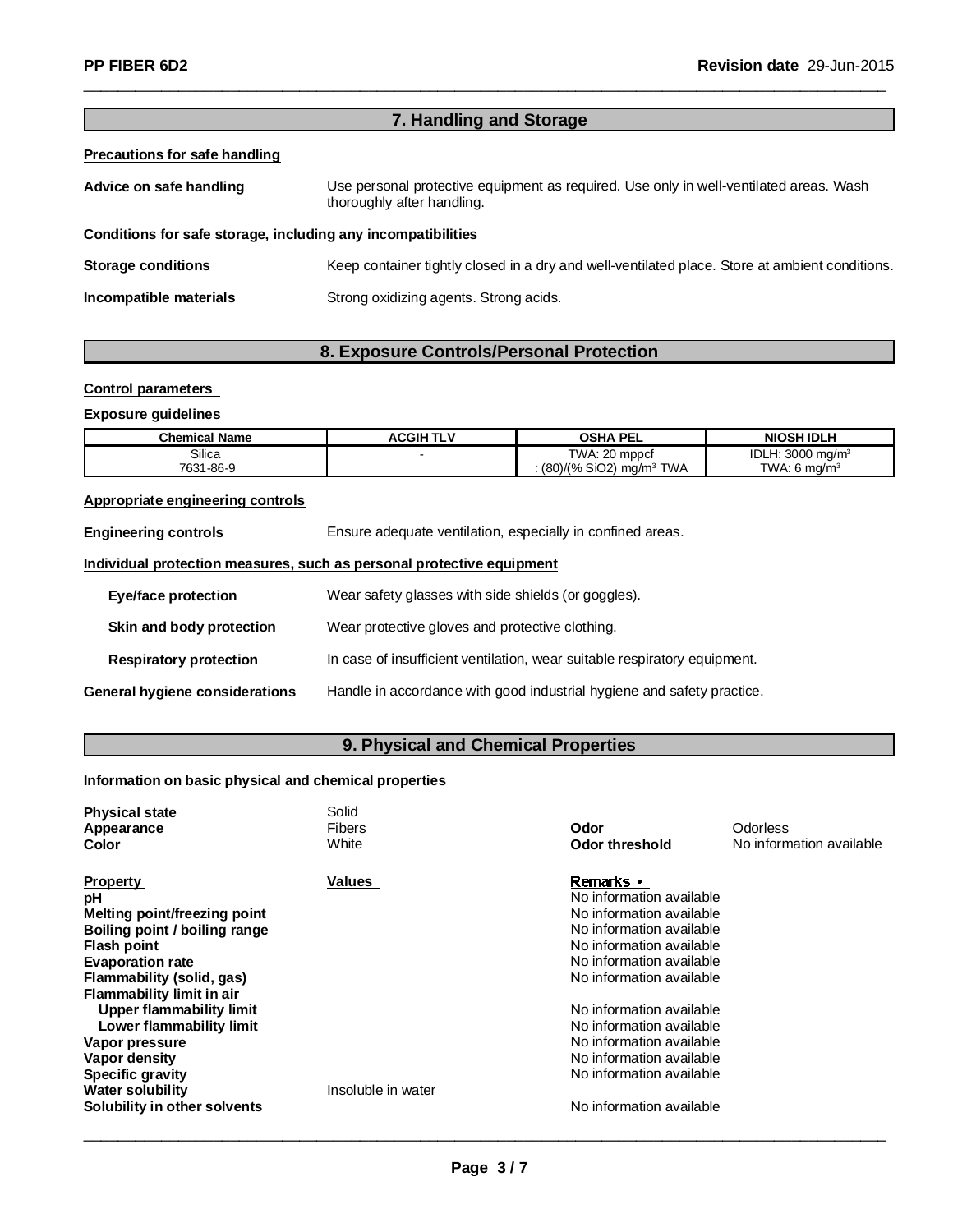# **7. Handling and Storage**

\_\_\_\_\_\_\_\_\_\_\_\_\_\_\_\_\_\_\_\_\_\_\_\_\_\_\_\_\_\_\_\_\_\_\_\_\_\_\_\_\_\_\_\_\_\_\_\_\_\_\_\_\_\_\_\_\_\_\_\_\_\_\_\_\_\_\_\_\_\_\_\_\_\_\_\_\_\_\_\_\_\_\_\_\_\_\_\_\_\_\_\_\_

## **Precautions for safe handling**

| Advice on safe handling                                      | Use personal protective equipment as required. Use only in well-ventilated areas. Wash<br>thoroughly after handling. |
|--------------------------------------------------------------|----------------------------------------------------------------------------------------------------------------------|
| Conditions for safe storage, including any incompatibilities |                                                                                                                      |
| <b>Storage conditions</b>                                    | Keep container tightly closed in a dry and well-ventilated place. Store at ambient conditions.                       |
| Incompatible materials                                       | Strong oxidizing agents. Strong acids.                                                                               |

# **8. Exposure Controls/Personal Protection**

#### **Control parameters**

## **Exposure guidelines**

| <b>Chemical Name</b> | <b>ACGIH TLV</b> | <b>OSHA PEL</b>                       | <b>NIOSH IDLH</b>           |
|----------------------|------------------|---------------------------------------|-----------------------------|
| Silica               |                  | TWA: 20 mppcf                         | IDLH: $3000 \text{ mg/m}^3$ |
| 7631-86-9            |                  | $(80)/(%$ SiO2) mg/m <sup>3</sup> TWA | TWA: 6 $ma/m3$              |

# **Appropriate engineering controls**

| <b>Engineering controls</b>    | Ensure adequate ventilation, especially in confined areas.                |  |
|--------------------------------|---------------------------------------------------------------------------|--|
|                                | Individual protection measures, such as personal protective equipment     |  |
| Eye/face protection            | Wear safety glasses with side shields (or goggles).                       |  |
| Skin and body protection       | Wear protective gloves and protective clothing.                           |  |
| <b>Respiratory protection</b>  | In case of insufficient ventilation, wear suitable respiratory equipment. |  |
| General hygiene considerations | Handle in accordance with good industrial hygiene and safety practice.    |  |

# **9. Physical and Chemical Properties**

# **Information on basic physical and chemical properties**

| <b>Physical state</b><br>Appearance<br>Color                         | Solid<br><b>Fibers</b><br>White | Odor<br>Odor threshold                | Odorless<br>No information available |
|----------------------------------------------------------------------|---------------------------------|---------------------------------------|--------------------------------------|
| <b>Property</b>                                                      | Values                          | Remarks •<br>No information available |                                      |
| рH                                                                   |                                 | No information available              |                                      |
| <b>Melting point/freezing point</b><br>Boiling point / boiling range |                                 | No information available              |                                      |
| <b>Flash point</b>                                                   |                                 | No information available              |                                      |
| <b>Evaporation rate</b>                                              |                                 | No information available              |                                      |
| Flammability (solid, gas)                                            |                                 | No information available              |                                      |
| <b>Flammability limit in air</b>                                     |                                 |                                       |                                      |
| Upper flammability limit                                             |                                 | No information available              |                                      |
| Lower flammability limit                                             |                                 | No information available              |                                      |
| Vapor pressure                                                       |                                 | No information available              |                                      |
| Vapor density                                                        |                                 | No information available              |                                      |
| <b>Specific gravity</b>                                              |                                 | No information available              |                                      |
| <b>Water solubility</b>                                              | Insoluble in water              |                                       |                                      |
| Solubility in other solvents                                         |                                 | No information available              |                                      |
|                                                                      |                                 |                                       |                                      |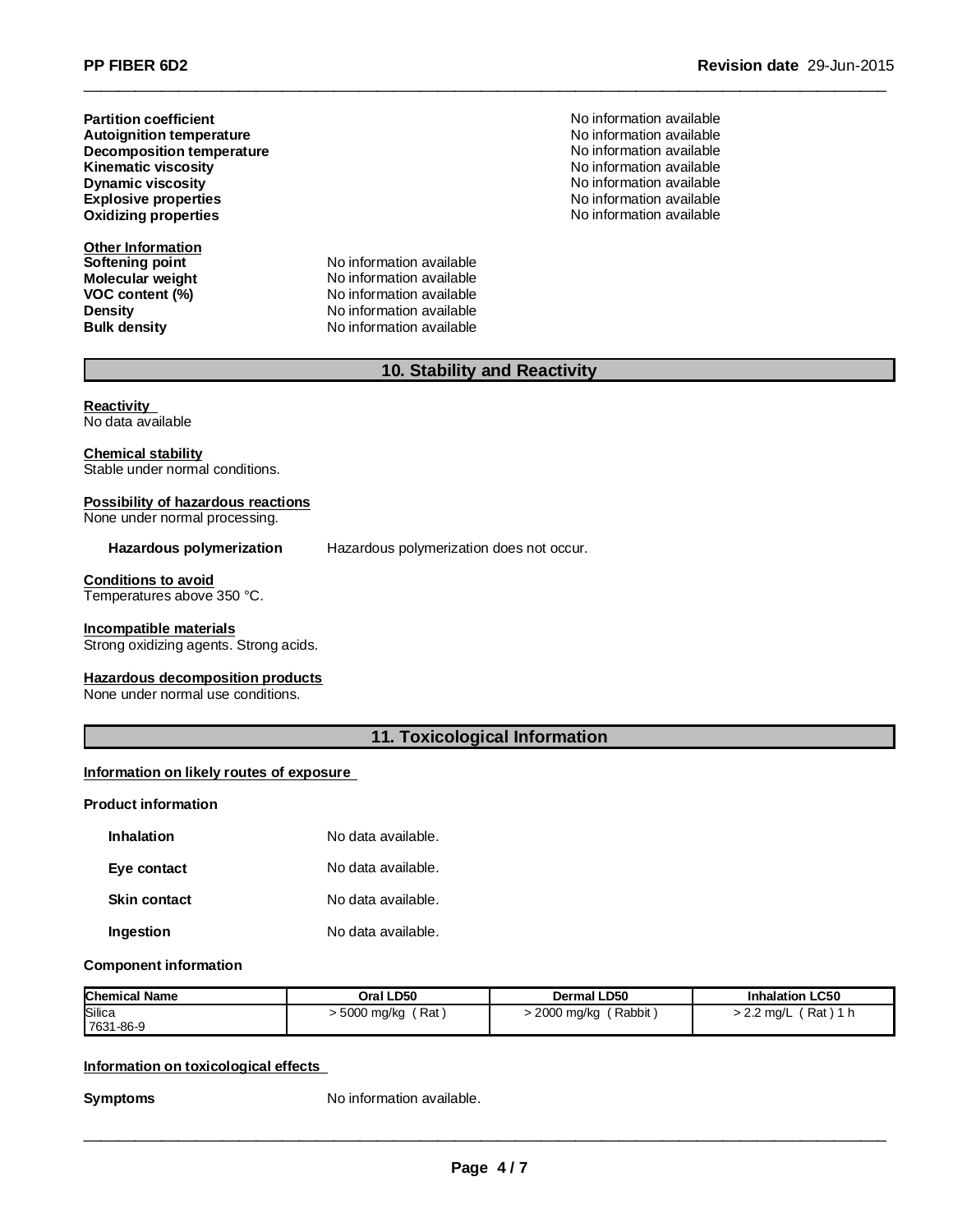**Partition coefficient Decomposition temperature**  $\qquad \qquad \qquad$  **No information available Kinematic viscosity Autoignition temperature Explosive properties Oxidizing properties**

**Other Information Softening point** No information available

**Molecular weight** No information available **VOC** content (%) No information available **Density Constitution Constitution Available**<br> **Bulk density Constitution Available No** information available **No information available** 

**Revision date** 29-Jun-2015

No information available No information available No information available **Dynamic viscosity** No information available No information available No information available

# **10. Stability and Reactivity**

\_\_\_\_\_\_\_\_\_\_\_\_\_\_\_\_\_\_\_\_\_\_\_\_\_\_\_\_\_\_\_\_\_\_\_\_\_\_\_\_\_\_\_\_\_\_\_\_\_\_\_\_\_\_\_\_\_\_\_\_\_\_\_\_\_\_\_\_\_\_\_\_\_\_\_\_\_\_\_\_\_\_\_\_\_\_\_\_\_\_\_\_\_

**Reactivity** No data available

**Chemical stability** Stable under normal conditions.

## **Possibility of hazardous reactions**

None under normal processing.

**Hazardous polymerization** Hazardous polymerization does not occur.

**Conditions to avoid** Temperatures above 350 °C.

#### **Incompatible materials**

Strong oxidizing agents. Strong acids.

## **Hazardous decomposition products**

None under normal use conditions.

## **11. Toxicological Information**

#### **Information on likely routes of exposure**

## **Product information**

| <b>Inhalation</b>   | No data available. |
|---------------------|--------------------|
| Eye contact         | No data available. |
| <b>Skin contact</b> | No data available. |
| Ingestion           | No data available. |

#### **Component information**

| <b>Chemical Name</b> | Oral LD50    | Dermal LD50  | <b>Inhalation LC50</b> |
|----------------------|--------------|--------------|------------------------|
| Silica               | Rat          | ∫ Rabbit     | Rat ) 1 h              |
| 7631-86-9            | ∙ 5000 mg/kg | 2000 mg/kg › | > 2.2 mg/L             |

## **Information on toxicological effects**

**Symptoms** No information available.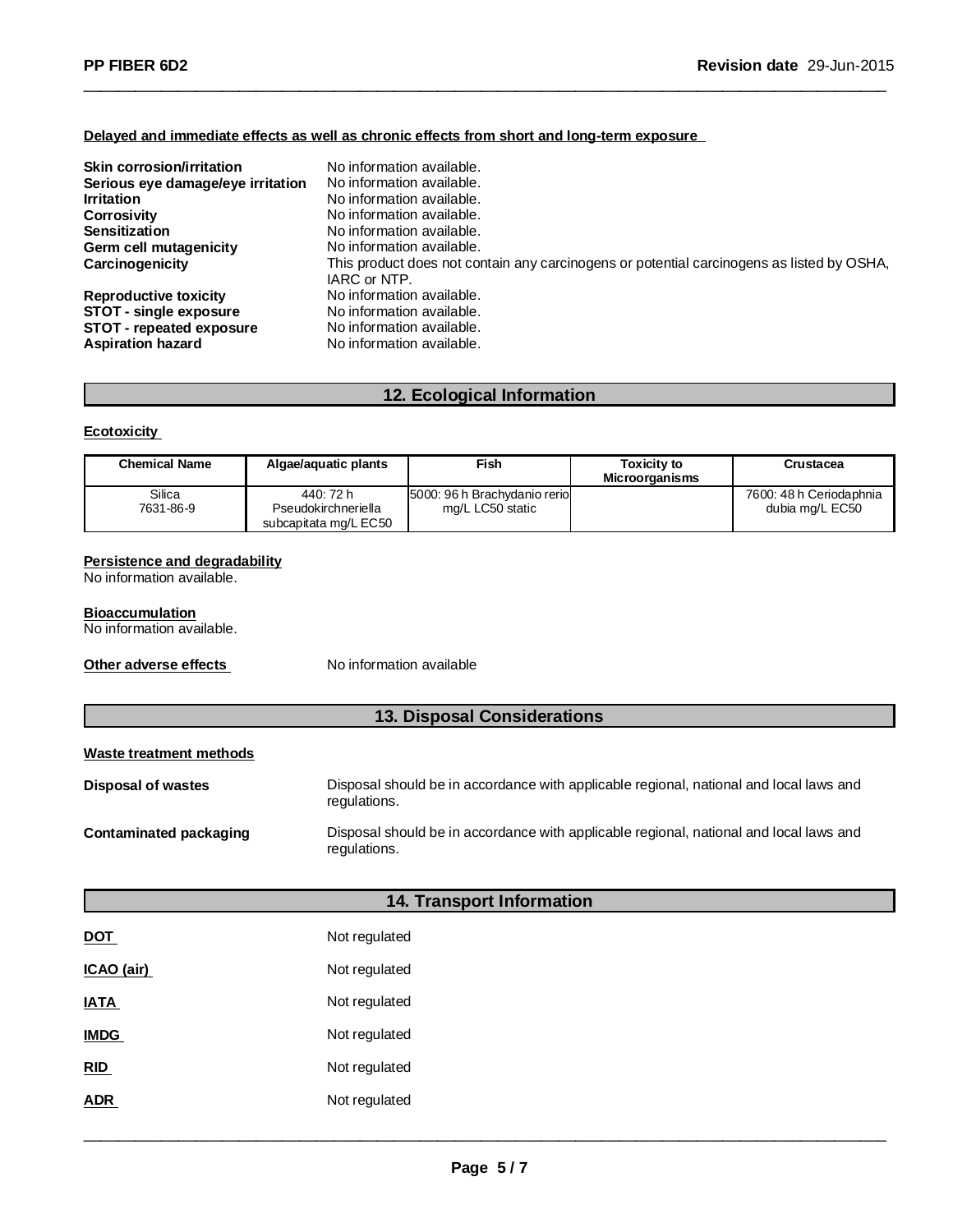#### **Delayed and immediate effects as well as chronic effects from short and long-term exposure**

| <b>Skin corrosion/irritation</b><br>Serious eye damage/eye irritation<br><b>Irritation</b><br><b>Corrosivity</b><br><b>Sensitization</b><br>Germ cell mutagenicity<br>Carcinogenicity | No information available.<br>No information available.<br>No information available.<br>No information available.<br>No information available.<br>No information available.<br>This product does not contain any carcinogens or potential carcinogens as listed by OSHA,<br>IARC or NTP. |
|---------------------------------------------------------------------------------------------------------------------------------------------------------------------------------------|-----------------------------------------------------------------------------------------------------------------------------------------------------------------------------------------------------------------------------------------------------------------------------------------|
| <b>Reproductive toxicity</b>                                                                                                                                                          | No information available.                                                                                                                                                                                                                                                               |
| STOT - single exposure                                                                                                                                                                | No information available.                                                                                                                                                                                                                                                               |
| STOT - repeated exposure                                                                                                                                                              | No information available.                                                                                                                                                                                                                                                               |
| <b>Aspiration hazard</b>                                                                                                                                                              | No information available.                                                                                                                                                                                                                                                               |

\_\_\_\_\_\_\_\_\_\_\_\_\_\_\_\_\_\_\_\_\_\_\_\_\_\_\_\_\_\_\_\_\_\_\_\_\_\_\_\_\_\_\_\_\_\_\_\_\_\_\_\_\_\_\_\_\_\_\_\_\_\_\_\_\_\_\_\_\_\_\_\_\_\_\_\_\_\_\_\_\_\_\_\_\_\_\_\_\_\_\_\_\_

# **12. Ecological Information**

## **Ecotoxicity**

| <b>Chemical Name</b> | Algae/aguatic plants  | Fish                          | <b>Toxicity to</b><br><b>Microorganisms</b> | Crustacea               |
|----------------------|-----------------------|-------------------------------|---------------------------------------------|-------------------------|
| Silica               | 440: 72 h             | 5000: 96 h Brachydanio reriol |                                             | 7600: 48 h Ceriodaphnia |
| 7631-86-9            | Pseudokirchneriella   | mg/L LC50 static              |                                             | dubia mg/L EC50         |
|                      | subcapitata mg/L EC50 |                               |                                             |                         |

#### **Persistence and degradability**

No information available.

#### **Bioaccumulation**

No information available.

**Other adverse effects** No information available

# **13. Disposal Considerations**

## **Waste treatment methods**

| <b>Disposal of wastes</b> | Disposal should be in accordance with applicable regional, national and local laws and<br>regulations. |
|---------------------------|--------------------------------------------------------------------------------------------------------|
| Contaminated packaging    | Disposal should be in accordance with applicable regional, national and local laws and<br>regulations. |

## **14. Transport Information**

| <b>DOT</b>  | Not regulated |
|-------------|---------------|
| ICAO (air)  | Not regulated |
| <b>IATA</b> | Not regulated |
| <b>IMDG</b> | Not regulated |
| <b>RID</b>  | Not regulated |
| ADR         | Not regulated |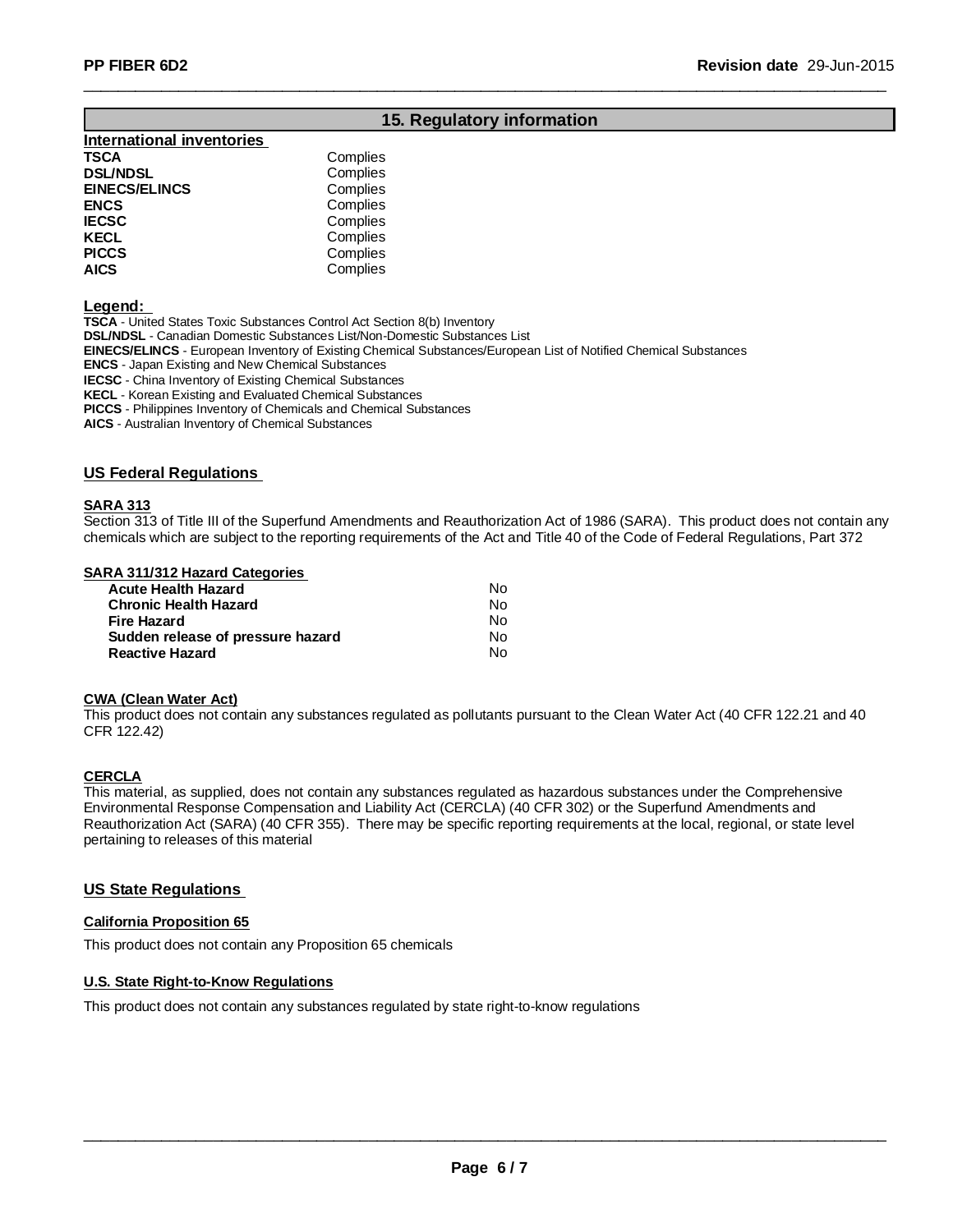# **15. Regulatory information**

\_\_\_\_\_\_\_\_\_\_\_\_\_\_\_\_\_\_\_\_\_\_\_\_\_\_\_\_\_\_\_\_\_\_\_\_\_\_\_\_\_\_\_\_\_\_\_\_\_\_\_\_\_\_\_\_\_\_\_\_\_\_\_\_\_\_\_\_\_\_\_\_\_\_\_\_\_\_\_\_\_\_\_\_\_\_\_\_\_\_\_\_\_

| <b>International inventories</b> |          |
|----------------------------------|----------|
| TSCA                             | Complies |
| <b>DSL/NDSL</b>                  | Complies |
| <b>EINECS/ELINCS</b>             | Complies |
| <b>ENCS</b>                      | Complies |
| <b>IECSC</b>                     | Complies |
| <b>KECL</b>                      | Complies |
| <b>PICCS</b>                     | Complies |
| <b>AICS</b>                      | Complies |
|                                  |          |

**Legend:**

**TSCA** - United States Toxic Substances Control Act Section 8(b) Inventory **DSL/NDSL** - Canadian Domestic Substances List/Non-Domestic Substances List **EINECS/ELINCS** - European Inventory of Existing Chemical Substances/European List of Notified Chemical Substances **ENCS** - Japan Existing and New Chemical Substances **IECSC** - China Inventory of Existing Chemical Substances **KECL** - Korean Existing and Evaluated Chemical Substances **PICCS** - Philippines Inventory of Chemicals and Chemical Substances

**AICS** - Australian Inventory of Chemical Substances

#### **US Federal Regulations**

## **SARA 313**

Section 313 of Title III of the Superfund Amendments and Reauthorization Act of 1986 (SARA). This product does not contain any chemicals which are subject to the reporting requirements of the Act and Title 40 of the Code of Federal Regulations, Part 372

#### **SARA 311/312 Hazard Categories**

| Acute Health Hazard               | N٥ |
|-----------------------------------|----|
| Chronic Health Hazard             | N٥ |
| Fire Hazard                       | Nο |
| Sudden release of pressure hazard | N٥ |
| <b>Reactive Hazard</b>            | N٥ |

#### **CWA (Clean Water Act)**

This product does not contain any substances regulated as pollutants pursuant to the Clean Water Act (40 CFR 122.21 and 40 CFR 122.42)

#### **CERCLA**

This material, as supplied, does not contain any substances regulated as hazardous substances under the Comprehensive Environmental Response Compensation and Liability Act (CERCLA) (40 CFR 302) or the Superfund Amendments and Reauthorization Act (SARA) (40 CFR 355). There may be specific reporting requirements at the local, regional, or state level pertaining to releases of this material

#### **US State Regulations**

#### **California Proposition 65**

This product does not contain any Proposition 65 chemicals

#### **U.S. State Right-to-Know Regulations**

This product does not contain any substances regulated by state right-to-know regulations